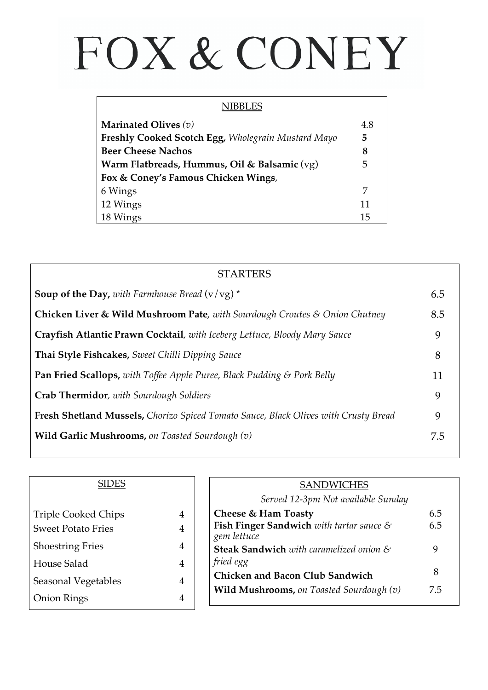## FOX & CONEY

| NIBBLES                                            |     |
|----------------------------------------------------|-----|
| Marinated Olives $(v)$                             | 4.8 |
| Freshly Cooked Scotch Egg, Wholegrain Mustard Mayo | 5   |
| <b>Beer Cheese Nachos</b>                          | 8   |
| Warm Flatbreads, Hummus, Oil & Balsamic (vg)       | 5   |
| Fox & Coney's Famous Chicken Wings,                |     |
| 6 Wings                                            | 7   |
| 12 Wings                                           | 11  |
| 18 Wings                                           | 15  |

| <b>STARTERS</b>                                                                     |     |
|-------------------------------------------------------------------------------------|-----|
| <b>Soup of the Day,</b> with Farmhouse Bread $(v / vg)^*$                           | 6.5 |
| Chicken Liver & Wild Mushroom Pate, with Sourdough Croutes & Onion Chutney          | 8.5 |
| Crayfish Atlantic Prawn Cocktail, with Iceberg Lettuce, Bloody Mary Sauce           | 9   |
| Thai Style Fishcakes, Sweet Chilli Dipping Sauce                                    | 8   |
| <b>Pan Fried Scallops, with Toffee Apple Puree, Black Pudding &amp; Pork Belly</b>  | 11  |
| <b>Crab Thermidor</b> , with Sourdough Soldiers                                     | 9   |
| Fresh Shetland Mussels, Chorizo Spiced Tomato Sauce, Black Olives with Crusty Bread | 9   |
| Wild Garlic Mushrooms, on Toasted Sourdough $(v)$                                   | 7.5 |

| <b>SIDES</b>               |   |
|----------------------------|---|
| <b>Triple Cooked Chips</b> |   |
| <b>Sweet Potato Fries</b>  | 4 |
| <b>Shoestring Fries</b>    | 4 |
| House Salad                |   |
| Seasonal Vegetables        |   |
| <b>Onion Rings</b>         |   |

| <b>SANDWICHES</b>                                                          |     |
|----------------------------------------------------------------------------|-----|
| Served 12-3pm Not available Sunday                                         |     |
| Cheese & Ham Toasty                                                        | 6.5 |
| <b>Fish Finger Sandwich</b> with tartar sauce $\mathcal{C}$<br>gem lettuce | 6.5 |
| <b>Steak Sandwich</b> with caramelized onion &<br>fried egg                | 9   |
| <b>Chicken and Bacon Club Sandwich</b>                                     | 8   |
| <b>Wild Mushrooms, on Toasted Sourdough <math>(v)</math></b>               | 7.5 |